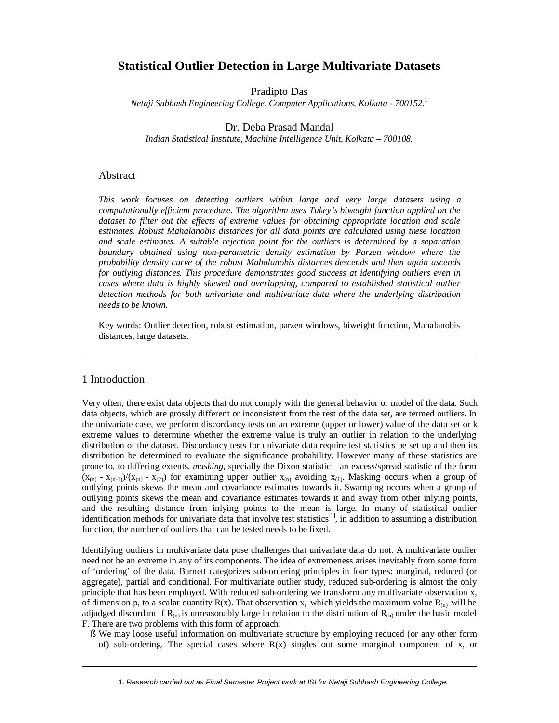# **Statistical Outlier Detection in Large Multivariate Datasets**

Pradipto Das

*Netaji Subhash Engineering College, Computer Applications, Kolkata - 700152.* 1

Dr. Deba Prasad Mandal

*Indian Statistical Institute, Machine Intelligence Unit, Kolkata – 700108.*

#### Abstract

*This work focuses on detecting outliers within large and very large datasets using a computationally efficient procedure. The algorithm uses Tukey's biweight function applied on the*  dataset to filter out the effects of extreme values for obtaining appropriate location and scale *estimates. Robust Mahalanobis distances for all data points are calculated using these location and scale estimates. A suitable rejection point for the outliers is determined by a separation boundary obtained using non-parametric density estimation by Parzen window where the probability density curve of the robust Mahalanobis distances descends and then again ascends for outlying distances. This procedure demonstrates good success at identifying outliers even in cases where data is highly skewed and overlapping, compared to established statistical outlier detection methods for both univariate and multivariate data where the underlying distribution needs to be known.*

Key words: Outlier detection, robust estimation, parzen windows, biweight function, Mahalanobis distances, large datasets.

### 1 Introduction

Very often, there exist data objects that do not comply with the general behavior or model of the data. Such data objects, which are grossly different or inconsistent from the rest of the data set, are termed outliers. In the univariate case, we perform discordancy tests on an extreme (upper or lower) value of the data set or k extreme values to determine whether the extreme value is truly an outlier in relation to the underlying distribution of the dataset. Discordancy tests for univariate data require test statistics be set up and then its distribution be determined to evaluate the significance probability. However many of these statistics are prone to, to differing extents, *masking*, specially the Dixon statistic – an excess/spread statistic of the form  $(x_{(n)} - x_{(n-1)})/(x_{(n)} - x_{(2)})$  for examining upper outlier  $x_{(n)}$  avoiding  $x_{(1)}$ . Masking occurs when a group of outlying points skews the mean and covariance estimates towards it. Swamping occurs when a group of outlying points skews the mean and covariance estimates towards it and away from other inlying points, and the resulting distance from inlying points to the mean is large. In many of statistical outlier identification methods for univariate data that involve test statistics<sup>[1]</sup>, in addition to assuming a distribution function, the number of outliers that can be tested needs to be fixed.

Identifying outliers in multivariate data pose challenges that univariate data do not. A multivariate outlier need not be an extreme in any of its components. The idea of extremeness arises inevitably from some form of 'ordering' of the data. Barnett categorizes sub-ordering principles in four types: marginal, reduced (or aggregate), partial and conditional. For multivariate outlier study, reduced sub-ordering is almost the only principle that has been employed. With reduced sub-ordering we transform any multivariate observation x, of dimension p, to a scalar quantity  $R(x)$ . That observation  $x_i$  which yields the maximum value  $R_{(n)}$  will be adjudged discordant if  $R_{(n)}$  is unreasonably large in relation to the distribution of  $R_{(n)}$  under the basic model F. There are two problems with this form of approach:

§ We may loose useful information on multivariate structure by employing reduced (or any other form of) sub-ordering. The special cases where  $R(x)$  singles out some marginal component of x, or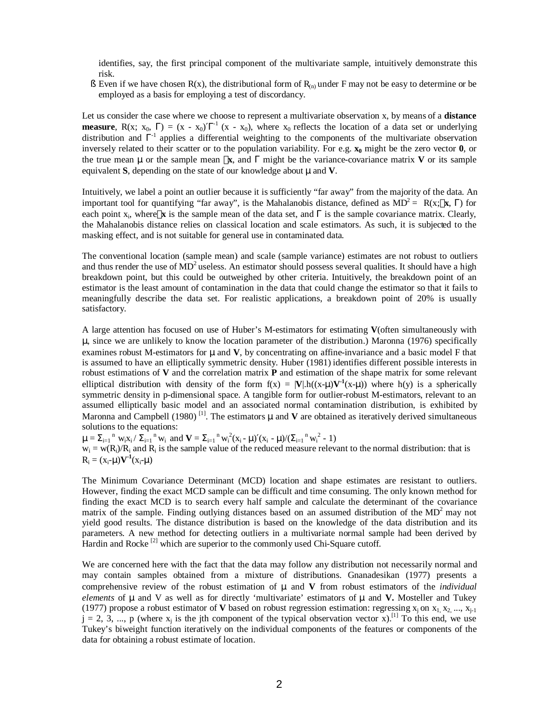identifies, say, the first principal component of the multivariate sample, intuitively demonstrate this risk.

§ Even if we have chosen  $R(x)$ , the distributional form of  $R_{(n)}$  under F may not be easy to determine or be employed as a basis for employing a test of discordancy.

Let us consider the case where we choose to represent a multivariate observation x, by means of a **distance measure**,  $R(x; x_0, \Gamma) = (x - x_0)T^{-1} (x - x_0)$ , where  $x_0$  reflects the location of a data set or underlying distribution and  $\Gamma^{-1}$  applies a differential weighting to the components of the multivariate observation inversely related to their scatter or to the population variability. For e.g. **x0** might be the zero vector **0**, or the true mean **m** or the sample mean **`x**, and Γ might be the variance-covariance matrix **V** or its sample equivalent **S**, depending on the state of our knowledge about **m** and **V**.

Intuitively, we label a point an outlier because it is sufficiently "far away" from the majority of the data. An important tool for quantifying "far away", is the Mahalanobis distance, defined as  $MD^2 = R(x; \mathbf{x}, \Gamma)$  for each point  $x_i$ , where  $\hat{x}$  is the sample mean of the data set, and  $\Gamma$  is the sample covariance matrix. Clearly, the Mahalanobis distance relies on classical location and scale estimators. As such, it is subjected to the masking effect, and is not suitable for general use in contaminated data.

The conventional location (sample mean) and scale (sample variance) estimates are not robust to outliers and thus render the use of  $MD^2$  useless. An estimator should possess several qualities. It should have a high breakdown point, but this could be outweighed by other criteria. Intuitively, the breakdown point of an estimator is the least amount of contamination in the data that could change the estimator so that it fails to meaningfully describe the data set. For realistic applications, a breakdown point of 20% is usually satisfactory.

A large attention has focused on use of Huber's M-estimators for estimating **V**(often simultaneously with **m**, since we are unlikely to know the location parameter of the distribution.) Maronna (1976) specifically examines robust M-estimators for **m** and **V**, by concentrating on affine-invariance and a basic model F that is assumed to have an elliptically symmetric density. Huber (1981) identifies different possible interests in robust estimations of **V** and the correlation matrix **P** and estimation of the shape matrix for some relevant elliptical distribution with density of the form  $f(x) = |V| \cdot h((x-m)V^{-1}(x-m))$  where  $h(y)$  is a spherically symmetric density in p-dimensional space. A tangible form for outlier-robust M-estimators, relevant to an assumed elliptically basic model and an associated normal contamination distribution, is exhibited by Maronna and Campbell (1980)<sup>[1]</sup>. The estimators  $m$  and  $V$  are obtained as iteratively derived simultaneous solutions to the equations:

 $m = \sum_{i=1}^n w_i x_i / \sum_{i=1}^n w_i$  and  $V = \sum_{i=1}^n w_i^2 (x_i - m)' (x_i - m) / (\sum_{i=1}^n w_i^2 - 1)$ 

 $w_i = w(R_i)/R_i$  and  $R_i$  is the sample value of the reduced measure relevant to the normal distribution: that is  $R_i = (x_i - m)\mathbf{V}^{-1}(x_i - m)$ 

The Minimum Covariance Determinant (MCD) location and shape estimates are resistant to outliers. However, finding the exact MCD sample can be difficult and time consuming. The only known method for finding the exact MCD is to search every half sample and calculate the determinant of the covariance matrix of the sample. Finding outlying distances based on an assumed distribution of the  $MD<sup>2</sup>$  may not yield good results. The distance distribution is based on the knowledge of the data distribution and its parameters. A new method for detecting outliers in a multivariate normal sample had been derived by Hardin and Rocke<sup>[2]</sup> which are superior to the commonly used Chi-Square cutoff.

We are concerned here with the fact that the data may follow any distribution not necessarily normal and may contain samples obtained from a mixture of distributions. Gnanadesikan (1977) presents a comprehensive review of the robust estimation of **m** and **V** from robust estimators of the *individual elements* of **m** and V as well as for directly 'multivariate' estimators of **m** and **V.** Mosteller and Tukey (1977) propose a robust estimator of **V** based on robust regression estimation: regressing  $x_i$  on  $x_1$ ,  $x_2$ , ...,  $x_{i-1}$  $j = 2, 3, ..., p$  (where  $x_j$  is the jth component of the typical observation vector x).<sup>[1]</sup> To this end, we use Tukey's biweight function iteratively on the individual components of the features or components of the data for obtaining a robust estimate of location.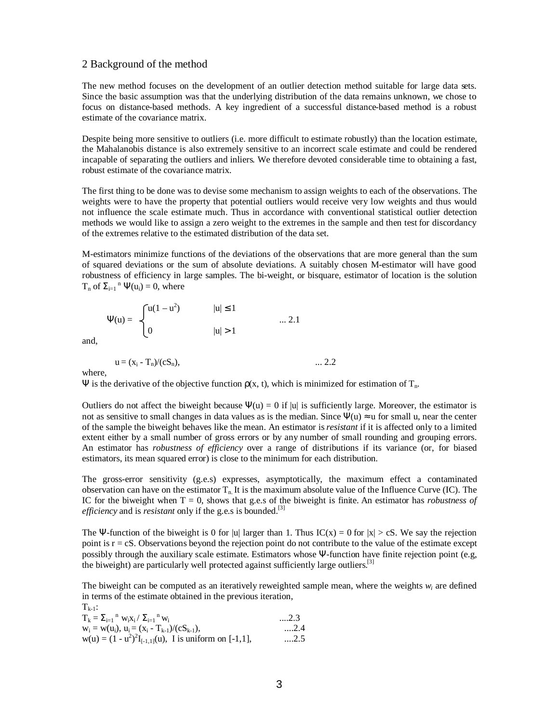#### 2 Background of the method

The new method focuses on the development of an outlier detection method suitable for large data sets. Since the basic assumption was that the underlying distribution of the data remains unknown, we chose to focus on distance-based methods. A key ingredient of a successful distance-based method is a robust estimate of the covariance matrix.

Despite being more sensitive to outliers (i.e. more difficult to estimate robustly) than the location estimate, the Mahalanobis distance is also extremely sensitive to an incorrect scale estimate and could be rendered incapable of separating the outliers and inliers. We therefore devoted considerable time to obtaining a fast, robust estimate of the covariance matrix.

The first thing to be done was to devise some mechanism to assign weights to each of the observations. The weights were to have the property that potential outliers would receive very low weights and thus would not influence the scale estimate much. Thus in accordance with conventional statistical outlier detection methods we would like to assign a zero weight to the extremes in the sample and then test for discordancy of the extremes relative to the estimated distribution of the data set.

M-estimators minimize functions of the deviations of the observations that are more general than the sum of squared deviations or the sum of absolute deviations. A suitably chosen M-estimator will have good robustness of efficiency in large samples. The bi-weight, or bisquare, estimator of location is the solution  $T_n$  of  $\Sigma_{i=1}^n \Psi(u_i) = 0$ , where

$$
\Psi(u) = \begin{cases} u(1 - u^2) & |u| \le 1 \\ 0 & |u| > 1 \end{cases} \dots 2.1
$$

and,

$$
u = (x_i - T_n)/(cS_n), \qquad \qquad \dots 2.2
$$

where,

Ψ is the derivative of the objective function  $ρ(x, t)$ , which is minimized for estimation of  $T_n$ .

Outliers do not affect the biweight because  $\Psi(u) = 0$  if |u| is sufficiently large. Moreover, the estimator is not as sensitive to small changes in data values as is the median. Since  $\Psi(u) \approx u$  for small u, near the center of the sample the biweight behaves like the mean. An estimator is *resistant* if it is affected only to a limited extent either by a small number of gross errors or by any number of small rounding and grouping errors. An estimator has *robustness of efficiency* over a range of distributions if its variance (or, for biased estimators, its mean squared error) is close to the minimum for each distribution.

The gross-error sensitivity (g.e.s) expresses, asymptotically, the maximum effect a contaminated observation can have on the estimator  $T_n$ . It is the maximum absolute value of the Influence Curve (IC). The IC for the biweight when  $T = 0$ , shows that g.e.s of the biweight is finite. An estimator has *robustness of efficiency* and is *resistant* only if the g.e.s is bounded.<sup>[3]</sup>

The Ψ-function of the biweight is 0 for |u| larger than 1. Thus  $IC(x) = 0$  for  $|x| > cS$ . We say the rejection point is r = cS. Observations beyond the rejection point do not contribute to the value of the estimate except possibly through the auxiliary scale estimate. Estimators whose Ψ-function have finite rejection point (e.g, the biweight) are particularly well protected against sufficiently large outliers.[3]

The biweight can be computed as an iteratively reweighted sample mean, where the weights *w<sup>i</sup>* are defined in terms of the estimate obtained in the previous iteration,  $T_{i+1}$ :

| .                                                            |             |
|--------------------------------------------------------------|-------------|
| $T_k = \sum_{i=1}^{n} W_i X_i / \sum_{i=1}^{n} W_i$          | $\dots$ 2.3 |
| $W_i = W(u_i)$ , $u_i = (x_i - T_{k-1})/(cS_{k-1})$ ,        | 2.4         |
| $w(u) = (1 - u^2)^2 I_{[-1,1]}(u)$ , I is uniform on [-1,1], | $\dots 2.5$ |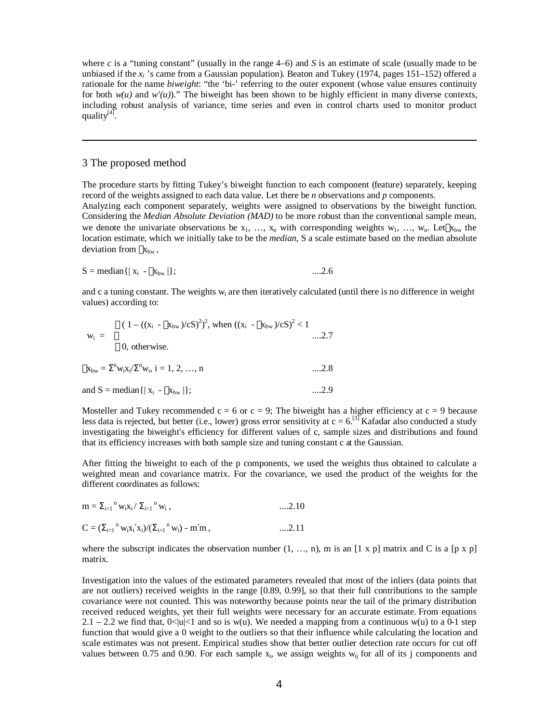where *c* is a "tuning constant" (usually in the range 4–6) and *S* is an estimate of scale (usually made to be unbiased if the  $x_i$ 's came from a Gaussian population). Beaton and Tukey (1974, pages 151–152) offered a rationale for the name *biweight*: "the 'bi-' referring to the outer exponent (whose value ensures continuity for both  $w(u)$  and  $w'(u)$ )." The biweight has been shown to be highly efficient in many diverse contexts, including robust analysis of variance, time series and even in control charts used to monitor product quality<sup>[4]</sup>.

### 3 The proposed method

The procedure starts by fitting Tukey's biweight function to each component (feature) separately, keeping record of the weights assigned to each data value. Let there be *n* observations and *p* components. Analyzing each component separately, weights were assigned to observations by the biweight function. Considering the *Median Absolute Deviation (MAD)* to be more robust than the conventional sample mean, we denote the univariate observations be  $x_1, ..., x_n$  with corresponding weights  $w_1, ..., w_n$ . Let  $\overline{x}_{bw}$  the location estimate, which we initially take to be the *median*, S a scale estimate based on the median absolute deviation from  $x_{bw}$ ,

$$
S = \text{median} \{ | x_i - \overline{x}_{bw} | \}; \qquad \dots 2.6
$$

and c a tuning constant. The weights w<sub>i</sub> are then iteratively calculated (until there is no difference in weight values) according to:

$$
w_{i} = \begin{cases} (1 - ((x_{i} - \overline{x}_{bw})/cS)^{2})^{2}, \text{ when } ((x_{i} - \overline{x}_{bw})/cS)^{2} < 1 \\ 0, \text{ otherwise.} \end{cases} \dots .2.7
$$
  
\n
$$
\overline{x}_{bw} = \sum^{n} w_{i}x_{i}/\sum^{n} w_{i}, i = 1, 2, ..., n \qquad \dots .2.8
$$
  
\nand S = median{ | x\_{i} - \overline{x}\_{bw} |}; \qquad \dots .2.9

Mosteller and Tukey recommended  $c = 6$  or  $c = 9$ ; The biweight has a higher efficiency at  $c = 9$  because less data is rejected, but better (i.e., lower) gross error sensitivity at  $c = 6$ .<sup>[3]</sup> Kafadar also conducted a study investigating the biweight's efficiency for different values of c, sample sizes and distributions and found that its efficiency increases with both sample size and tuning constant c at the Gaussian.

After fitting the biweight to each of the p components, we used the weights thus obtained to calculate a weighted mean and covariance matrix. For the covariance, we used the product of the weights for the different coordinates as follows:

| $m = \sum_{i=1}^n w_i x_i / \sum_{i=1}^n w_i$ ,                | $\dots 2.10$ |
|----------------------------------------------------------------|--------------|
| $C = (\sum_{i=1}^n w_i x_i' x_i) / (\sum_{i=1}^n w_i) - m'm$ , | $\dots 2.11$ |

where the subscript indicates the observation number  $(1, \ldots, n)$ , m is an  $[1 \times p]$  matrix and C is a  $[p \times p]$ matrix.

Investigation into the values of the estimated parameters revealed that most of the inliers (data points that are not outliers) received weights in the range [0.89, 0.99], so that their full contributions to the sample covariance were not counted. This was noteworthy because points near the tail of the primary distribution received reduced weights, yet their full weights were necessary for an accurate estimate. From equations 2.1 – 2.2 we find that,  $0<|u|<1$  and so is w(u). We needed a mapping from a continuous w(u) to a 0-1 step function that would give a 0 weight to the outliers so that their influence while calculating the location and scale estimates was not present. Empirical studies show that better outlier detection rate occurs for cut off values between 0.75 and 0.90. For each sample  $x_i$ , we assign weights  $w_{ij}$  for all of its j components and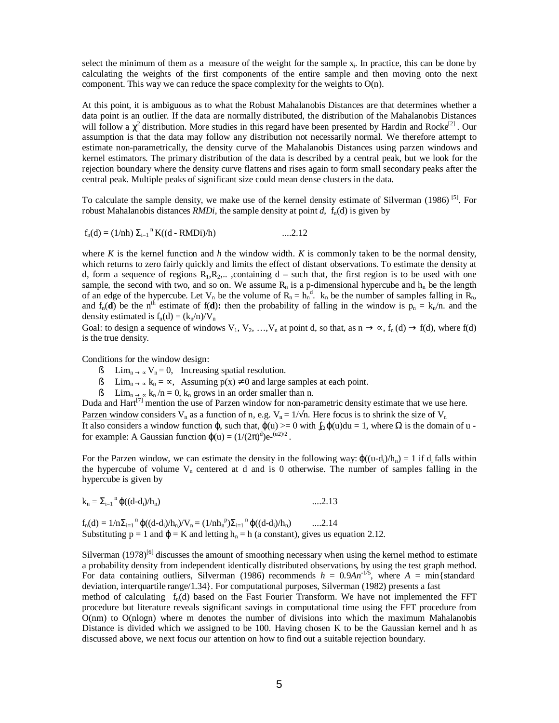select the minimum of them as a measure of the weight for the sample  $x_i$ . In practice, this can be done by calculating the weights of the first components of the entire sample and then moving onto the next component. This way we can reduce the space complexity for the weights to  $O(n)$ .

At this point, it is ambiguous as to what the Robust Mahalanobis Distances are that determines whether a data point is an outlier. If the data are normally distributed, the distribution of the Mahalanobis Distances will follow a  $\chi^2$  distribution. More studies in this regard have been presented by Hardin and Rocke<sup>[2]</sup>. Our assumption is that the data may follow any distribution not necessarily normal. We therefore attempt to estimate non-parametrically, the density curve of the Mahalanobis Distances using parzen windows and kernel estimators. The primary distribution of the data is described by a central peak, but we look for the rejection boundary where the density curve flattens and rises again to form small secondary peaks after the central peak. Multiple peaks of significant size could mean dense clusters in the data.

To calculate the sample density, we make use of the kernel density estimate of Silverman (1986)<sup>[5]</sup>. For robust Mahalanobis distances *RMDi*, the sample density at point *d*,  $f_n(d)$  is given by

$$
f_n(d) = (1/nh) \sum_{i=1}^n K((d - RMDi)/h) \qquad \qquad \dots 2.12
$$

where  $K$  is the kernel function and  $h$  the window width.  $K$  is commonly taken to be the normal density, which returns to zero fairly quickly and limits the effect of distant observations. To estimate the density at d, form a sequence of regions  $R_1, R_2, \ldots$ , containing d – such that, the first region is to be used with one sample, the second with two, and so on. We assume  $R_n$  is a p-dimensional hypercube and  $h_n$  be the length of an edge of the hypercube. Let  $V_n$  be the volume of  $R_n = h_n^d$ .  $k_n$  be the number of samples falling in  $R_n$ , and  $f_n(\mathbf{d})$  be the n<sup>th</sup> estimate of  $f(\mathbf{d})$ : then the probability of falling in the window is  $p_n = k_n/n$ . and the density estimated is  $f_n(d) = (k_n/n)/V_n$ 

Goal: to design a sequence of windows  $V_1, V_2, ..., V_n$  at point d, so that, as  $n \to \infty$ ,  $f_n(d) \to f(d)$ , where  $f(d)$ is the true density.

Conditions for the window design:

- § Lim<sub>n → ∝</sub> V<sub>n</sub> = 0, Increasing spatial resolution.
- § Lim<sub>n → ∝</sub> k<sub>n</sub> = ∝, Assuming  $p(x) \neq 0$  and large samples at each point.
- § Lim<sub>n → ∞</sub> k<sub>n</sub>/n = 0, k<sub>n</sub> grows in an order smaller than n.

Duda and  $\text{Hart}^{[7]}$  mention the use of Parzen window for non-parametric density estimate that we use here.

<u>Parzen window</u> considers V<sub>n</sub> as a function of n, e.g. V<sub>n</sub> =  $1/\sqrt{n}$ . Here focus is to shrink the size of V<sub>n</sub> It also considers a window function  $\varphi$ , such that,  $\varphi(u) = 0$  with  $\int_{\Omega} \varphi(u) du = 1$ , where  $\Omega$  is the domain of u for example: A Gaussian function  $\varphi(u) = (1/(2\pi)^d)e^{-(u^2)/2}$ .

For the Parzen window, we can estimate the density in the following way:  $\varphi((u-d_i)/h_n) = 1$  if  $d_i$  falls within the hypercube of volume  $V_n$  centered at d and is 0 otherwise. The number of samples falling in the hypercube is given by

$$
k_n = \sum_{i=1}^n \varphi((d-d_i)/h_n) \qquad \qquad \dots 2.13
$$

 $f_n(d) = 1/n\Sigma_{i=1}^n \varphi((d-d_i)/h_n)/V_n = (1/nh_n^p)\Sigma_{i=1}^n \varphi((d-d_i)/h_n)$  ....2.14 Substituting  $p = 1$  and  $\varphi = K$  and letting  $h_n = h$  (a constant), gives us equation 2.12.

Silverman  $(1978)^{[6]}$  discusses the amount of smoothing necessary when using the kernel method to estimate a probability density from independent identically distributed observations, by using the test graph method. For data containing outliers, Silverman (1986) recommends  $h = 0.9An^{-1/5}$ , where  $A = min\{\text{standard}\}$ deviation, interquartile range/1.34}. For computational purposes, Silverman (1982) presents a fast

method of calculating  $f_n(d)$  based on the Fast Fourier Transform. We have not implemented the FFT procedure but literature reveals significant savings in computational time using the FFT procedure from O(nm) to O(nlogn) where m denotes the number of divisions into which the maximum Mahalanobis Distance is divided which we assigned to be 100. Having chosen K to be the Gaussian kernel and h as discussed above, we next focus our attention on how to find out a suitable rejection boundary.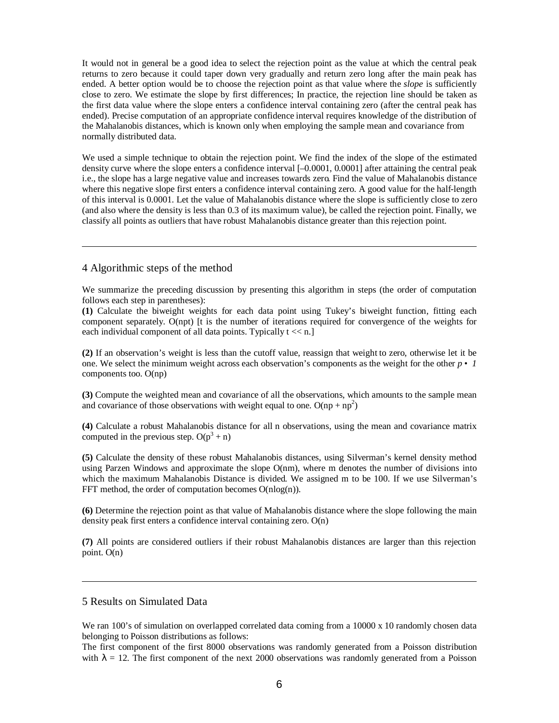It would not in general be a good idea to select the rejection point as the value at which the central peak returns to zero because it could taper down very gradually and return zero long after the main peak has ended. A better option would be to choose the rejection point as that value where the *slope* is sufficiently close to zero. We estimate the slope by first differences; In practice, the rejection line should be taken as the first data value where the slope enters a confidence interval containing zero (after the central peak has ended). Precise computation of an appropriate confidence interval requires knowledge of the distribution of the Mahalanobis distances, which is known only when employing the sample mean and covariance from normally distributed data.

We used a simple technique to obtain the rejection point. We find the index of the slope of the estimated density curve where the slope enters a confidence interval [–0.0001, 0.0001] after attaining the central peak i.e., the slope has a large negative value and increases towards zero. Find the value of Mahalanobis distance where this negative slope first enters a confidence interval containing zero. A good value for the half-length of this interval is 0.0001. Let the value of Mahalanobis distance where the slope is sufficiently close to zero (and also where the density is less than 0.3 of its maximum value), be called the rejection point. Finally, we classify all points as outliers that have robust Mahalanobis distance greater than this rejection point.

### 4 Algorithmic steps of the method

We summarize the preceding discussion by presenting this algorithm in steps (the order of computation follows each step in parentheses):

**(1)** Calculate the biweight weights for each data point using Tukey's biweight function, fitting each component separately. O(npt) [t is the number of iterations required for convergence of the weights for each individual component of all data points. Typically  $t \ll n$ .

**(2)** If an observation's weight is less than the cutoff value, reassign that weight to zero, otherwise let it be one. We select the minimum weight across each observation's components as the weight for the other *p* • *1* components too. O(np)

**(3)** Compute the weighted mean and covariance of all the observations, which amounts to the sample mean and covariance of those observations with weight equal to one.  $O(np + np^2)$ 

**(4)** Calculate a robust Mahalanobis distance for all n observations, using the mean and covariance matrix computed in the previous step.  $O(p^3 + n)$ 

**(5)** Calculate the density of these robust Mahalanobis distances, using Silverman's kernel density method using Parzen Windows and approximate the slope O(nm), where m denotes the number of divisions into which the maximum Mahalanobis Distance is divided. We assigned m to be 100. If we use Silverman's FFT method, the order of computation becomes  $O(n \log(n))$ .

**(6)** Determine the rejection point as that value of Mahalanobis distance where the slope following the main density peak first enters a confidence interval containing zero. O(n)

**(7)** All points are considered outliers if their robust Mahalanobis distances are larger than this rejection point. O(n)

## 5 Results on Simulated Data

We ran 100's of simulation on overlapped correlated data coming from a 10000 x 10 randomly chosen data belonging to Poisson distributions as follows:

The first component of the first 8000 observations was randomly generated from a Poisson distribution with  $\lambda = 12$ . The first component of the next 2000 observations was randomly generated from a Poisson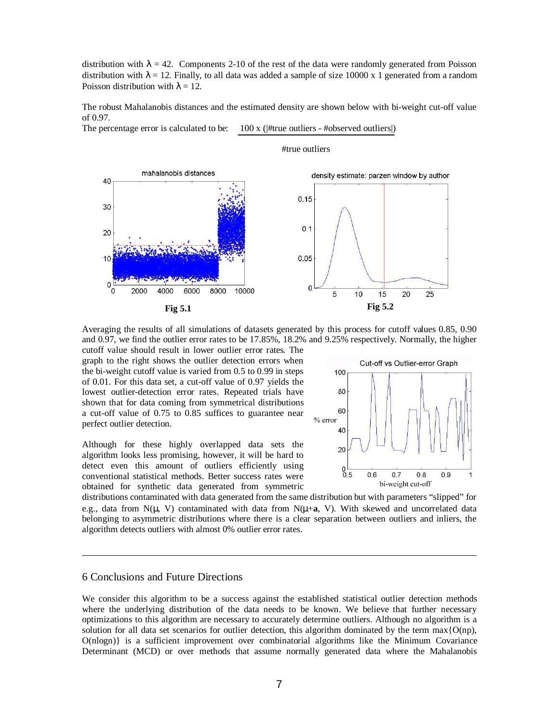distribution with  $\lambda = 42$ . Components 2-10 of the rest of the data were randomly generated from Poisson distribution with  $\lambda = 12$ . Finally, to all data was added a sample of size 10000 x 1 generated from a random Poisson distribution with  $\lambda = 12$ .

The robust Mahalanobis distances and the estimated density are shown below with bi-weight cut-off value of 0.97.

Ī

The percentage error is calculated to be:  $100 \times ($ #true outliers - #observed outliers $|$ )



#true outliers

Averaging the results of all simulations of datasets generated by this process for cutoff values 0.85, 0.90 and 0.97, we find the outlier error rates to be 17.85%, 18.2% and 9.25% respectively. Normally, the higher

cutoff value should result in lower outlier error rates. The graph to the right shows the outlier detection errors when the bi-weight cutoff value is varied from 0.5 to 0.99 in steps of 0.01. For this data set, a cut-off value of 0.97 yields the lowest outlier-detection error rates. Repeated trials have shown that for data coming from symmetrical distributions a cut-off value of 0.75 to 0.85 suffices to guarantee near perfect outlier detection.

Although for these highly overlapped data sets the algorithm looks less promising, however, it will be hard to detect even this amount of outliers efficiently using conventional statistical methods. Better success rates were obtained for synthetic data generated from symmetric



distributions contaminated with data generated from the same distribution but with parameters "slipped" for e.g., data from N(μ, V) contaminated with data from N(μ+**a**, V). With skewed and uncorrelated data belonging to asymmetric distributions where there is a clear separation between outliers and inliers, the algorithm detects outliers with almost 0% outlier error rates.

## 6 Conclusions and Future Directions

We consider this algorithm to be a success against the established statistical outlier detection methods where the underlying distribution of the data needs to be known. We believe that further necessary optimizations to this algorithm are necessary to accurately determine outliers. Although no algorithm is a solution for all data set scenarios for outlier detection, this algorithm dominated by the term  $\max\{O(np),\}$ O(nlogn)} is a sufficient improvement over combinatorial algorithms like the Minimum Covariance Determinant (MCD) or over methods that assume normally generated data where the Mahalanobis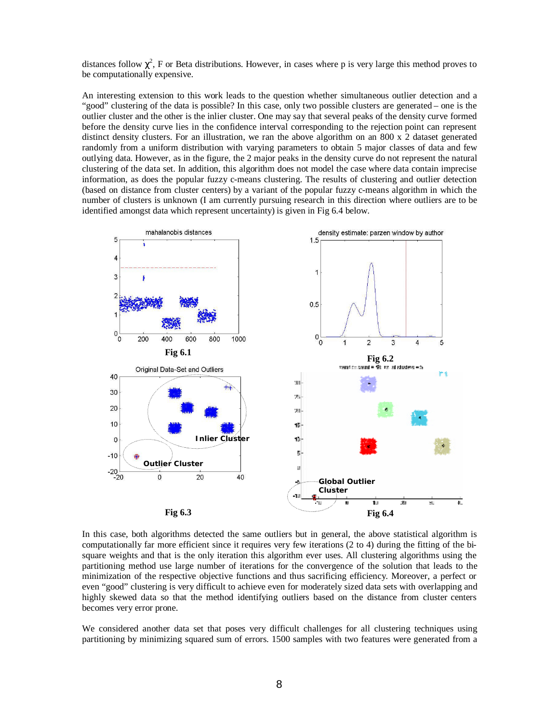distances follow  $\chi^2$ , F or Beta distributions. However, in cases where p is very large this method proves to be computationally expensive.

An interesting extension to this work leads to the question whether simultaneous outlier detection and a "good" clustering of the data is possible? In this case, only two possible clusters are generated – one is the outlier cluster and the other is the inlier cluster. One may say that several peaks of the density curve formed before the density curve lies in the confidence interval corresponding to the rejection point can represent distinct density clusters. For an illustration, we ran the above algorithm on an 800 x 2 dataset generated randomly from a uniform distribution with varying parameters to obtain 5 major classes of data and few outlying data. However, as in the figure, the 2 major peaks in the density curve do not represent the natural clustering of the data set. In addition, this algorithm does not model the case where data contain imprecise information, as does the popular fuzzy c-means clustering. The results of clustering and outlier detection (based on distance from cluster centers) by a variant of the popular fuzzy c-means algorithm in which the number of clusters is unknown (I am currently pursuing research in this direction where outliers are to be identified amongst data which represent uncertainty) is given in Fig 6.4 below.



In this case, both algorithms detected the same outliers but in general, the above statistical algorithm is computationally far more efficient since it requires very few iterations (2 to 4) during the fitting of the bisquare weights and that is the only iteration this algorithm ever uses. All clustering algorithms using the partitioning method use large number of iterations for the convergence of the solution that leads to the minimization of the respective objective functions and thus sacrificing efficiency. Moreover, a perfect or even "good" clustering is very difficult to achieve even for moderately sized data sets with overlapping and highly skewed data so that the method identifying outliers based on the distance from cluster centers becomes very error prone.

We considered another data set that poses very difficult challenges for all clustering techniques using partitioning by minimizing squared sum of errors. 1500 samples with two features were generated from a